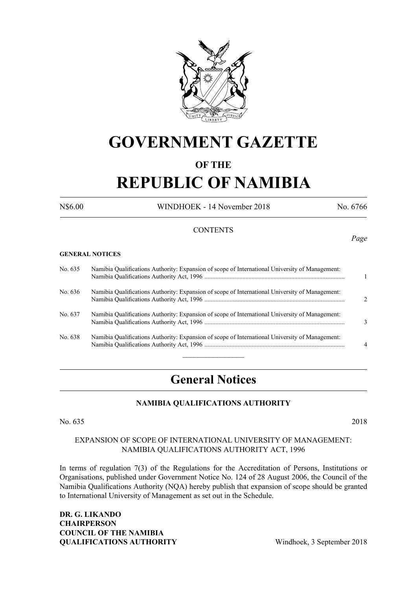

## **GOVERNMENT GAZETTE**

#### **OF THE**

# **REPUBLIC OF NAMIBIA**

N\$6.00 WINDHOEK - 14 November 2018 No. 6766

#### **CONTENTS**

#### **GENERAL NOTICES**

| No. 635 | Namibia Qualifications Authority: Expansion of scope of International University of Management: |                             |
|---------|-------------------------------------------------------------------------------------------------|-----------------------------|
| No. 636 | Namibia Qualifications Authority: Expansion of scope of International University of Management: | $\mathcal{D}_{\mathcal{A}}$ |
| No. 637 | Namibia Qualifications Authority: Expansion of scope of International University of Management: | $\mathcal{F}$               |
| No. 638 | Namibia Qualifications Authority: Expansion of scope of International University of Management: | $\overline{4}$              |
|         |                                                                                                 |                             |

### **General Notices**

#### **NAMIBIA QUALIFICATIONS AUTHORITY**

No. 635 2018

#### Expansion of Scope of International University of Management: Namibia Qualifications Authority Act, 1996

In terms of regulation 7(3) of the Regulations for the Accreditation of Persons, Institutions or Organisations, published under Government Notice No. 124 of 28 August 2006, the Council of the Namibia Qualifications Authority (NQA) hereby publish that expansion of scope should be granted to International University of Management as set out in the Schedule.

**Dr. G. Likando Chairperson COUNCIL OF THE NAMIBIA QUALIFICATIONS AUTHORITY** Windhoek, 3 September 2018

*Page*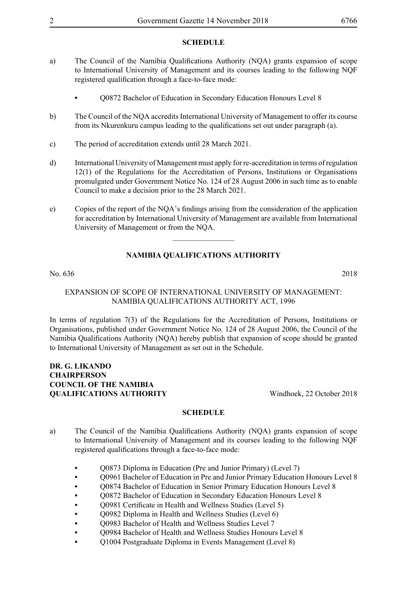#### **SCHEDULE**

- a) The Council of the Namibia Qualifications Authority (NQA) grants expansion of scope to International University of Management and its courses leading to the following NQF registered qualification through a face-to-face mode:
	- **•** Q0872 Bachelor of Education in Secondary Education Honours Level 8
- b) The Council of the NQA accredits International University of Management to offer its course from its Nkurenkuru campus leading to the qualifications set out under paragraph (a).
- c) The period of accreditation extends until 28 March 2021.
- d) International University of Management must apply for re-accreditation in terms of regulation 12(1) of the Regulations for the Accreditation of Persons, Institutions or Organisations promulgated under Government Notice No. 124 of 28 August 2006 in such time as to enable Council to make a decision prior to the 28 March 2021.
- e) Copies of the report of the NQA's findings arising from the consideration of the application for accreditation by International University of Management are available from International University of Management or from the NQA.

 $\frac{1}{2}$ 

### **NAMIBIA QUALIFICATIONS AUTHORITY**

#### No. 636 2018

#### Expansion of Scope of International University of Management: Namibia Qualifications Authority Act, 1996

In terms of regulation 7(3) of the Regulations for the Accreditation of Persons, Institutions or Organisations, published under Government Notice No. 124 of 28 August 2006, the Council of the Namibia Qualifications Authority (NQA) hereby publish that expansion of scope should be granted to International University of Management as set out in the Schedule.

#### **Dr. G. Likando Chairperson COUNCIL OF THE NAMIBIA QUALIFICATIONS AUTHORITY** Windhoek, 22 October 2018

#### **SCHEDULE**

- a) The Council of the Namibia Qualifications Authority (NQA) grants expansion of scope to International University of Management and its courses leading to the following NQF registered qualifications through a face-to-face mode:
	- **•** Q0873 Diploma in Education (Pre and Junior Primary) (Level 7)
	- **•** Q0961 Bachelor of Education in Pre and Junior Primary Education Honours Level 8
	- **•** Q0874 Bachelor of Education in Senior Primary Education Honours Level 8
	- **•** Q0872 Bachelor of Education in Secondary Education Honours Level 8
	- O0981 Certificate in Health and Wellness Studies (Level 5)
	- Q0982 Diploma in Health and Wellness Studies (Level 6)
	- **•** Q0983 Bachelor of Health and Wellness Studies Level 7
	- O0984 Bachelor of Health and Wellness Studies Honours Level 8
	- **•** Q1004 Postgraduate Diploma in Events Management (Level 8)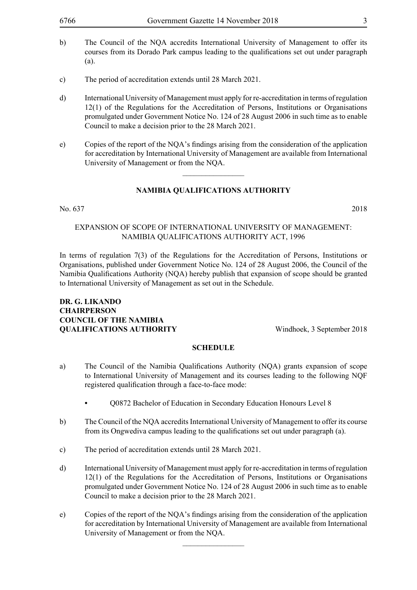- b) The Council of the NQA accredits International University of Management to offer its courses from its Dorado Park campus leading to the qualifications set out under paragraph (a).
- c) The period of accreditation extends until 28 March 2021.
- d) International University of Management must apply for re-accreditation in terms of regulation 12(1) of the Regulations for the Accreditation of Persons, Institutions or Organisations promulgated under Government Notice No. 124 of 28 August 2006 in such time as to enable Council to make a decision prior to the 28 March 2021.
- e) Copies of the report of the NQA's findings arising from the consideration of the application for accreditation by International University of Management are available from International University of Management or from the NQA.

#### **NAMIBIA QUALIFICATIONS AUTHORITY**

 $\frac{1}{2}$ 

#### No. 637 2018

#### Expansion of Scope of International University of Management: Namibia Qualifications Authority Act, 1996

In terms of regulation 7(3) of the Regulations for the Accreditation of Persons, Institutions or Organisations, published under Government Notice No. 124 of 28 August 2006, the Council of the Namibia Qualifications Authority (NQA) hereby publish that expansion of scope should be granted to International University of Management as set out in the Schedule.

#### **Dr. G. Likando Chairperson COUNCIL OF THE NAMIBIA QUALIFICATIONS AUTHORITY** Windhoek, 3 September 2018

#### **SCHEDULE**

- a) The Council of the Namibia Qualifications Authority (NQA) grants expansion of scope to International University of Management and its courses leading to the following NQF registered qualification through a face-to-face mode:
	- **•** Q0872 Bachelor of Education in Secondary Education Honours Level 8
- b) The Council of the NQA accredits International University of Management to offer its course from its Ongwediva campus leading to the qualifications set out under paragraph (a).
- c) The period of accreditation extends until 28 March 2021.
- d) International University of Management must apply for re-accreditation in terms of regulation 12(1) of the Regulations for the Accreditation of Persons, Institutions or Organisations promulgated under Government Notice No. 124 of 28 August 2006 in such time as to enable Council to make a decision prior to the 28 March 2021.
- e) Copies of the report of the NQA's findings arising from the consideration of the application for accreditation by International University of Management are available from International University of Management or from the NQA.

 $\overline{\phantom{a}}$  , where  $\overline{\phantom{a}}$